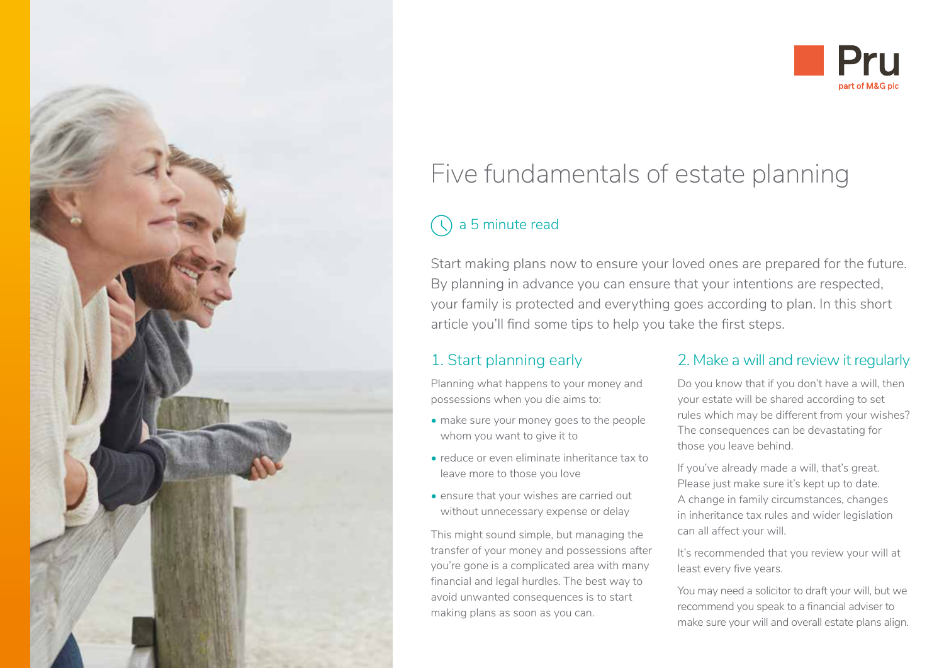

## **Pru**  part of M&G pie

# Five fundamentals of estate planning

## a 5 minute read

Start making plans now to ensure your loved ones are prepared for the future. By planning in advance you can ensure that your intentions are respected, your family is protected and everything goes according to plan. In this short article you'll find some tips to help you take the first steps.

### 1. Start planning early

Planning what happens to your money and possessions when you die aims to:

- make sure your money goes to the people whom you want to give it to
- reduce or even eliminate inheritance tax to leave more to those you love
- ensure that your wishes are carried out without unnecessary expense or delay

This might sound simple, but managing the transfer of your money and possessions after you're gone is a complicated area with many financial and legal hurdles. The best way to avoid unwanted consequences is to start making plans as soon as you can.

#### 2. Make a will and review it regularly

Do you know that if you don't have a will, then your estate will be shared according to set rules which may be different from your wishes? The consequences can be devastating for those you leave behind.

If you've already made a will, that's great. Please just make sure it's kept up to date. A change in family circumstances, changes in inheritance tax rules and wider legislation can all affect your will.

It's recommended that you review your will at least every five years.

You may need a solicitor to draft your will, but we recommend you speak to a financial adviser to make sure your will and overall estate plans align.